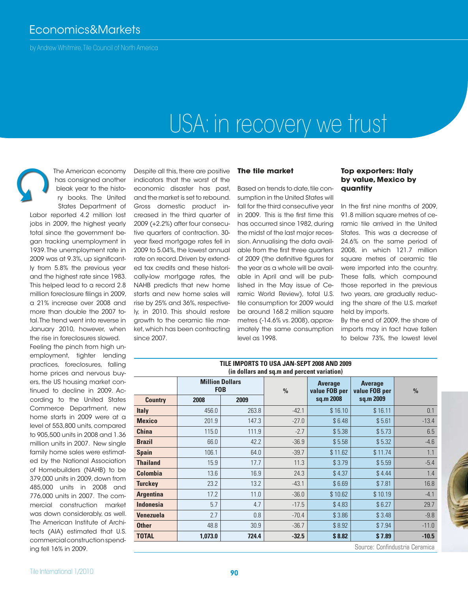## Economics&Markets

by Andrew Whitmire, Tile Council of North America

# USA: in recovery we trust



The American economy has consigned another bleak year to the history books. The United States Department of

Labor reported 4.2 million lost jobs in 2009, the highest yearly total since the government began tracking unemployment in 1939. The unemployment rate in 2009 was at 9.3%, up significantly from 5.8% the previous year and the highest rate since 1983. This helped lead to a record 2.8 million foreclosure filings in 2009, a 21% increase over 2008 and more than double the 2007 total. The trend went into reverse in January 2010, however, when the rise in foreclosures slowed. Feeling the pinch from high unemployment, tighter lending practices, foreclosures, falling home prices and nervous buyers, the US housing market continued to decline in 2009. According to the United States Commerce Department, new home starts in 2009 were at a level of 553,800 units, compared to 905,500 units in 2008 and 1.36 million units in 2007. New single family home sales were estimated by the National Association of Homebuilders (NAHB) to be 379,000 units in 2009, down from 485,000 units in 2008 and 776,000 units in 2007. The commercial construction market was down considerably, as well. The American Institute of Architects (AIA) estimated that U.S. commercial construction spending fell 16% in 2009.

Despite all this, there are positive indicators that the worst of the economic disaster has past, and the market is set to rebound. Gross domestic product increased in the third quarter of 2009 (+2.2%) after four consecutive quarters of contraction. 30 year fixed mortgage rates fell in 2009 to 5.04%, the lowest annual rate on record. Driven by extended tax credits and these historically-low mortgage rates, the NAHB predicts that new home starts and new home sales will rise by 25% and 36%, respectively, in 2010. This should restore growth to the ceramic tile market, which has been contracting since 2007.

### **The tile market**

Based on trends to date, tile consumption in the United States will fall for the third consecutive year in 2009. This is the first time this has occurred since 1982, during the midst of the last major recession. Annualising the data available from the first three quarters of 2009 (the definitive figures for the year as a whole will be available in April and will be published in the May issue of Ceramic World Review), total U.S. tile consumption for 2009 would be around 168.2 million square metres (-14.6% vs. 2008), approximately the same consumption level as 1998.

#### **Top exporters: Italy by value, Mexico by quantity**

In the first nine months of 2009, 91.8 million square metres of ceramic tile arrived in the United States. This was a decrease of 24.6% on the same period of 2008, in which 121.7 million square metres of ceramic tile were imported into the country. These falls, which compound those reported in the previous two years, are gradually reducing the share of the U.S. market held by imports.

By the end of 2009, the share of imports may in fact have fallen to below 73%, the lowest level

| TILE IMPURTS TU USA JAN-SEPT ZUU8 AND ZUU9<br>(in dollars and sq.m and percent variation) |                                      |       |               |                                 |                                 |               |  |  |  |
|-------------------------------------------------------------------------------------------|--------------------------------------|-------|---------------|---------------------------------|---------------------------------|---------------|--|--|--|
|                                                                                           | <b>Million Dollars</b><br><b>FOB</b> |       | $\frac{0}{0}$ | <b>Average</b><br>value FOB per | <b>Average</b><br>value FOB per | $\frac{0}{0}$ |  |  |  |
| <b>Country</b>                                                                            | 2008                                 | 2009  |               | sq.m 2008                       | sq.m 2009                       |               |  |  |  |
| <b>Italy</b>                                                                              | 456.0                                | 263.8 | $-42.1$       | \$16.10                         | \$16.11                         | 0.1           |  |  |  |
| <b>Mexico</b>                                                                             | 201.9                                | 147.3 | $-27.0$       | \$6.48                          | \$5.61                          | $-13.4$       |  |  |  |
| <b>China</b>                                                                              | 115.0                                | 111.9 | $-2.7$        | \$5.38                          | \$5.73                          | 6.5           |  |  |  |
| <b>Brazil</b>                                                                             | 66.0                                 | 42.2  | $-36.9$       | \$5.58                          | \$5.32                          | $-4.6$        |  |  |  |
| <b>Spain</b>                                                                              | 106.1                                | 64.0  | $-39.7$       | \$11.62                         | \$11.74                         | 1.1           |  |  |  |
| <b>Thailand</b>                                                                           | 15.9                                 | 17.7  | 11.3          | \$3.79                          | \$5.59                          | $-5.4$        |  |  |  |
| <b>Colombia</b>                                                                           | 13.6                                 | 16.9  | 24.3          | \$4.37                          | \$4.44                          | 1.4           |  |  |  |
| <b>Turckey</b>                                                                            | 23.2                                 | 13.2  | $-43.1$       | \$6.69                          | \$7.81                          | 16.8          |  |  |  |
| <b>Argentina</b>                                                                          | 17.2                                 | 11.0  | $-36.0$       | \$10.62                         | \$10.19                         | $-4.1$        |  |  |  |
| <b>Indonesia</b>                                                                          | 5.7                                  | 4.7   | $-17.5$       | \$4.83                          | \$6.27                          | 29.7          |  |  |  |
| Venezuela                                                                                 | 2.7                                  | 0.8   | $-70.4$       | \$3.86                          | \$3.48                          | $-9.8$        |  |  |  |
| <b>Other</b>                                                                              | 48.8                                 | 30.9  | $-36.7$       | \$8.92                          | \$7.94                          | $-11.0$       |  |  |  |
| <b>TOTAL</b>                                                                              | 1,073.0                              | 724.4 | $-32.5$       | \$8.82                          | \$7.89                          | $-10.5$       |  |  |  |

**TILE IMPORTS TO USA JAN-SEPT 2008 AND 2009**

Source: Confindustria Ceramica